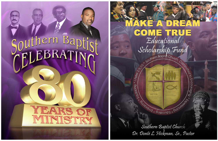# Southern Bapt





# Educational Scholarship Fund Committed  $\vec{o}$ Burgungh Orroguiz \* Buitoonp3 \* Buiouele Branch Southern Baptist Church

Dr. Donté L. Hickman, Sr., Pastor